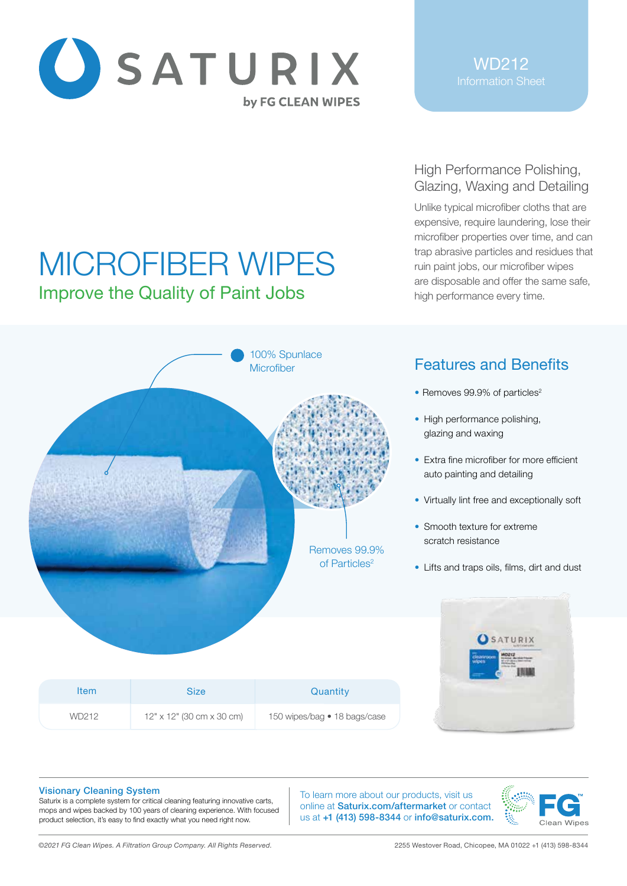

MICROFIBER WIPES

Improve the Quality of Paint Jobs

## High Performance Polishing, Glazing, Waxing and Detailing

Unlike typical microfiber cloths that are expensive, require laundering, lose their microfiber properties over time, and can trap abrasive particles and residues that ruin paint jobs, our microfiber wipes are disposable and offer the same safe, high performance every time.

## Features and Benefits

- Removes  $99.9\%$  of particles<sup>2</sup>
- High performance polishing, glazing and waxing
- Extra fine microfiber for more efficient auto painting and detailing
- Virtually lint free and exceptionally soft
- Smooth texture for extreme scratch resistance
- Lifts and traps oils, films, dirt and dust



100% Spunlace **Microfiber** 

> Removes 99.9% of Particles<sup>2</sup>

#### Visionary Cleaning System

Saturix is a complete system for critical cleaning featuring innovative carts, mops and wipes backed by 100 years of cleaning experience. With focused product selection, it's easy to find exactly what you need right now.

To learn more about our products, visit us online at Saturix.com/aftermarket or contact us at +1 (413) 598-8344 or info@saturix.com.